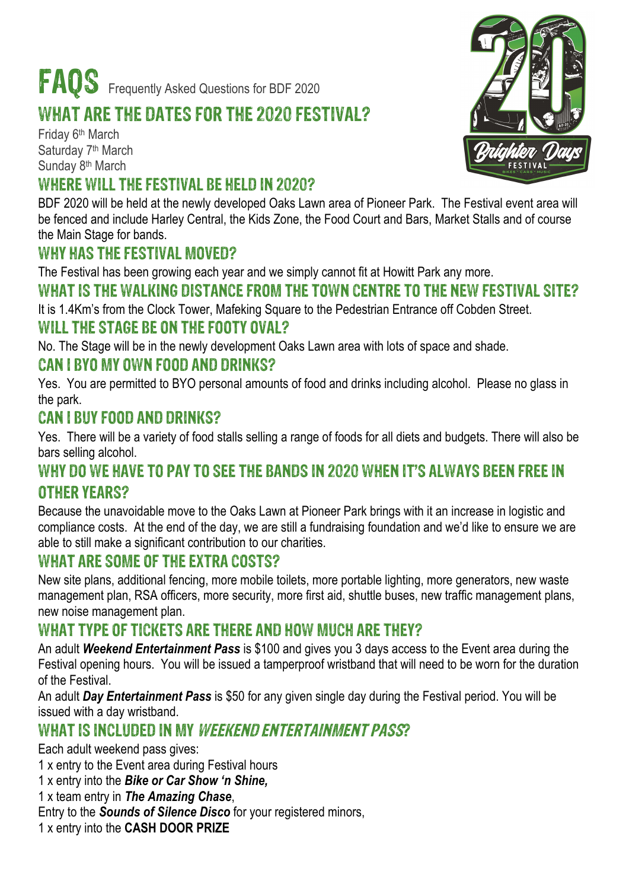# FAOS Frequently Asked Questions for BDF 2020

## WHAT ARE THE DATES FOR THE 2020 FESTIVAL?

Friday 6th March Saturday 7<sup>th</sup> March Sunday 8<sup>th</sup> March

#### WHERE WILL THE FESTIVAL BE HELD IN 2020?

BDF 2020 will be held at the newly developed Oaks Lawn area of Pioneer Park. The Festival event area will be fenced and include Harley Central, the Kids Zone, the Food Court and Bars, Market Stalls and of course the Main Stage for bands.

## WHY HAS THE FESTIVAL MOVED?

The Festival has been growing each year and we simply cannot fit at Howitt Park any more.

## WHAT IS THE WALKING DISTANCE FROM THE TOWN CENTRE TO THE NEW FESTIVAL SITE?

It is 1.4Km's from the Clock Tower, Mafeking Square to the Pedestrian Entrance off Cobden Street.

## WILL THE STAGE BE ON THE FOOTY OVAL?

No. The Stage will be in the newly development Oaks Lawn area with lots of space and shade.

## CAN I BYO MY OWN FOOD AND DRINKS?

Yes. You are permitted to BYO personal amounts of food and drinks including alcohol. Please no glass in the park.

#### CAN I BUY FOOD AND DRINKS?

Yes. There will be a variety of food stalls selling a range of foods for all diets and budgets. There will also be bars selling alcohol.

#### WHY DO WE HAVE TO PAY TO SEE THE BANDS IN 2020 WHEN IT'S ALWAYS BEEN FREE IN OTHER YEARS?

Because the unavoidable move to the Oaks Lawn at Pioneer Park brings with it an increase in logistic and compliance costs. At the end of the day, we are still a fundraising foundation and we'd like to ensure we are able to still make a significant contribution to our charities.

## WHAT ARE SOME OF THE EXTRA COSTS?

New site plans, additional fencing, more mobile toilets, more portable lighting, more generators, new waste management plan, RSA officers, more security, more first aid, shuttle buses, new traffic management plans, new noise management plan.

#### WHAT TYPE OF TICKETS ARE THERE AND HOW MUCH ARE THEY?

An adult *Weekend Entertainment Pass* is \$100 and gives you 3 days access to the Event area during the Festival opening hours. You will be issued a tamperproof wristband that will need to be worn for the duration of the Festival.

An adult *Day Entertainment Pass* is \$50 for any given single day during the Festival period. You will be issued with a day wristband.

## WHAT IS INCLUDED IN MY WEEKEND ENTERTAINMENT PASS?

Each adult weekend pass gives:

1 x entry to the Event area during Festival hours

1 x entry into the *Bike or Car Show 'n Shine,*

1 x team entry in *The Amazing Chase*,

Entry to the *Sounds of Silence Disco* for your registered minors,

1 x entry into the **CASH DOOR PRIZE**

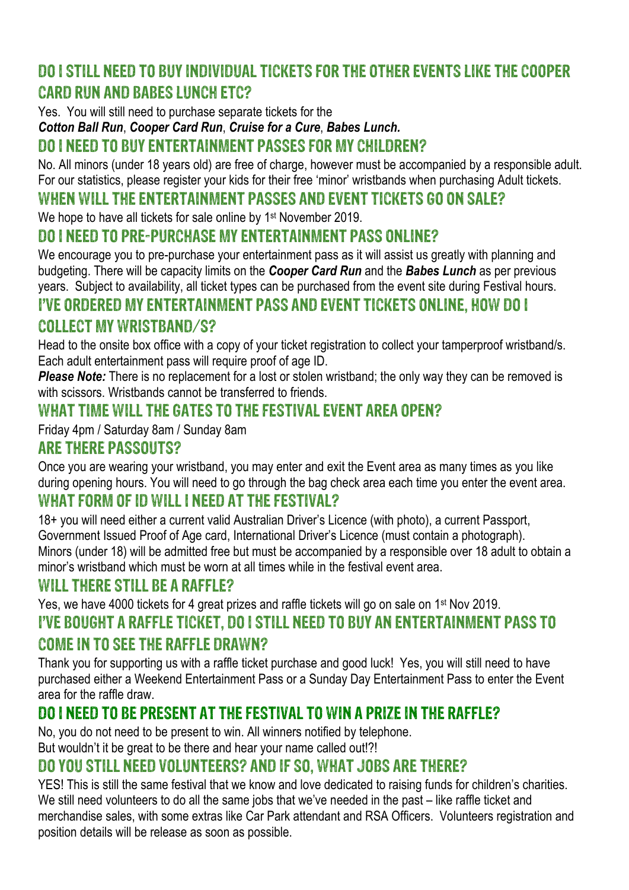## DO I STILL NEED TO BUY INDIVIDUAL TICKETS FOR THE OTHER EVENTS LIKE THE COOPER CARD RUN AND BABES LUNCH ETC?

Yes. You will still need to purchase separate tickets for the

*Cotton Ball Run*, *Cooper Card Run*, *Cruise for a Cure*, *Babes Lunch.*

### DO I NEED TO BUY ENTERTAINMENT PASSES FOR MY CHILDREN?

No. All minors (under 18 years old) are free of charge, however must be accompanied by a responsible adult. For our statistics, please register your kids for their free 'minor' wristbands when purchasing Adult tickets.

#### WHEN WILL THE ENTERTAINMENT PASSES AND EVENT TICKETS GO ON SALE?

We hope to have all tickets for sale online by 1<sup>st</sup> November 2019.

#### DO I NEED TO PRE-PURCHASE MY ENTERTAINMENT PASS ONLINE?

We encourage you to pre-purchase your entertainment pass as it will assist us greatly with planning and budgeting. There will be capacity limits on the *Cooper Card Run* and the *Babes Lunch* as per previous years. Subject to availability, all ticket types can be purchased from the event site during Festival hours.

#### I'VE ORDERED MY ENTERTAINMENT PASS AND EVENT TICKETS ONLINE, HOW DO I

#### COLLECT MY WRISTBAND/S?

Head to the onsite box office with a copy of your ticket registration to collect your tamperproof wristband/s. Each adult entertainment pass will require proof of age ID.

*Please Note:* There is no replacement for a lost or stolen wristband; the only way they can be removed is with scissors. Wristbands cannot be transferred to friends.

## WHAT TIME WILL THE GATES TO THE FESTIVAL EVENT AREA OPEN?

Friday 4pm / Saturday 8am / Sunday 8am

#### ARE THERE PASSOUTS?

Once you are wearing your wristband, you may enter and exit the Event area as many times as you like during opening hours. You will need to go through the bag check area each time you enter the event area.

#### WHAT FORM OF ID WILL I NEED AT THE FESTIVAL?

18+ you will need either a current valid Australian Driver's Licence (with photo), a current Passport, Government Issued Proof of Age card, International Driver's Licence (must contain a photograph). Minors (under 18) will be admitted free but must be accompanied by a responsible over 18 adult to obtain a minor's wristband which must be worn at all times while in the festival event area.

#### WILL THERE STILL BE A RAFFLE?

Yes, we have 4000 tickets for 4 great prizes and raffle tickets will go on sale on 1st Nov 2019.

#### I'VE BOUGHT A RAFFLE TICKET, DO I STILL NEED TO BUY AN ENTERTAINMENT PASS TO

#### COME IN TO SEE THE RAFFLE DRAWN?

Thank you for supporting us with a raffle ticket purchase and good luck! Yes, you will still need to have purchased either a Weekend Entertainment Pass or a Sunday Day Entertainment Pass to enter the Event area for the raffle draw.

## DO I NEED TO BE PRESENT AT THE FESTIVAL TO WIN A PRIZE IN THE RAFFLE?

No, you do not need to be present to win. All winners notified by telephone.

But wouldn't it be great to be there and hear your name called out!?!

## DO YOU STILL NEED VOLUNTEERS? AND IF SO, WHAT JOBS ARE THERE?

YES! This is still the same festival that we know and love dedicated to raising funds for children's charities. We still need volunteers to do all the same jobs that we've needed in the past – like raffle ticket and merchandise sales, with some extras like Car Park attendant and RSA Officers. Volunteers registration and position details will be release as soon as possible.